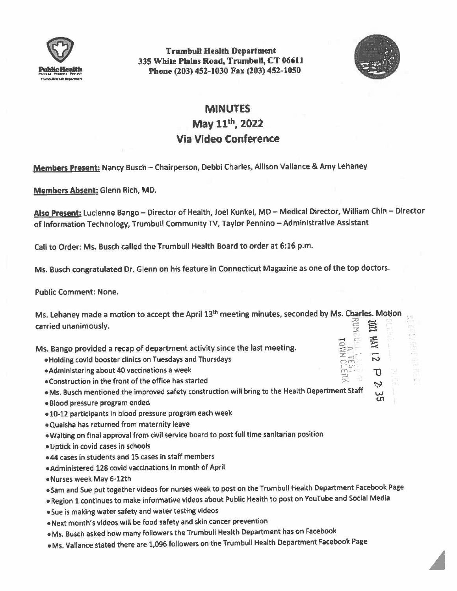

Trumbull Health Department 335 White Plains Road, Trumbull, CT 06611 **Phone** (203) 452-1030 Fax (203) 452-1050



 $\approx$  $\subset$  $\Xi\triangleright$  $\mathbb{E}^{\mathbb{Z}}_{-1}$  . c,~ *,u* $m -$ *~)* 

N  $\mathsf{D}% _{\mathcal{A}}\left( \mathcal{A},\mathcal{A}\right)$ 

ڊ

## **MINUTES**

May 11th, **2022 Via Video Conference** 

**Members Present:** Nancy Busch - Chairperson, Debbi Charles, Allison Vallance & Amy Lehaney

**Members Absent:** Glenn Rich, MO.

Also Present: Lucienne Bango - Director of Health, Joel Kunkel, MD - Medical Director, William Chin - Director of Information Technology, Trumbull Community TV, Taylor Pennino - Administrative Assistant

Call to Order: Ms. Busch called the Trumbull Health Board to order at 6:16 p.m.

Ms. Busch congratulated Dr. Glenn on his feature in Connecticut **Magazine** as one of the top doctors.

Public Comment: None.

Ms. Lehaney made a motion to accept the April 13<sup>th</sup> meeting minutes, seconded by Ms. Charles. Motion carried unanimously.

Ms. Bango provided a recap of department activity since the last meeting.

- Holding covid booster clinics on Tuesdays and Thursdays
- •Administering about 40 vaccinations a week
- $\bullet$  Construction in the front of the office has started

• Ms. Busch mentioned the improved safety construction will bring to the Health Department Staff

- •Blood pressure program ended
- •10-12 participants in blood pressure program each week
- •Quaisha has returned from maternity leave
- •Waiting on final approval from civil service board to post full time sanitarian position
- Uptick in covid cases in schools
- •44 cases in students and 15 cases in staff members
- •Administered 128 covid vaccinations in month of April
- •Nurses week May 6·12th
- •Sam and Sue put together videos for nurses week to post on the Trumbull Health Department Facebook Page
- Region 1 continues to make informative videos about Public Health to post on YouTube and Social Media
- •Sue is making water safety and water testing videos
- Next month's videos will be food safety and skin cancer prevention
- Ms. Busch asked how many followers the Trumbull Health Department has on Facebook
- Ms. Vallance stated there are 1,096 followers on the Trumbull Health Department Facebook Page